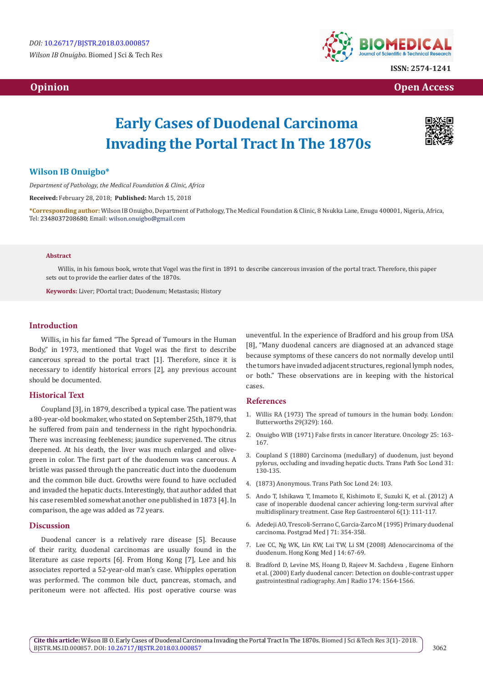*Wilson IB Onuigbo.* Biomed J Sci & Tech Res



**ISSN: 2574-1241**

 **Opinion Contract Contract Contract Contract Contract Contract Contract Contract Contract Contract Contract Contract Contract Contract Contract Contract Contract Contract Contract Contract Contract Contract Contract Con** 

# **Early Cases of Duodenal Carcinoma Invading the Portal Tract In The 1870s**

# **Wilson IB Onuigbo\***

*Department of Pathology, the Medical Foundation & Clinic, Africa*

**Received:** February 28, 2018; **Published:** March 15, 2018

**\*Corresponding author:** Wilson IB Onuigbo, Department of Pathology, The Medical Foundation & Clinic, 8 Nsukka Lane, Enugu 400001, Nigeria, Africa, Tel: 2348037208680; Email: wilson.onuigbo@gmail.com

#### **Abstract**

Willis, in his famous book, wrote that Vogel was the first in 1891 to describe cancerous invasion of the portal tract. Therefore, this paper sets out to provide the earlier dates of the 1870s.

**Keywords:** Liver; POortal tract; Duodenum; Metastasis; History

#### **Introduction**

Willis, in his far famed "The Spread of Tumours in the Human Body," in 1973, mentioned that Vogel was the first to describe cancerous spread to the portal tract [1]. Therefore, since it is necessary to identify historical errors [2], any previous account should be documented.

# **Historical Text**

Coupland [3], in 1879, described a typical case. The patient was a 80-year-old bookmaker, who stated on September 25th, 1879, that he suffered from pain and tenderness in the right hypochondria. There was increasing feebleness; jaundice supervened. The citrus deepened. At his death, the liver was much enlarged and olivegreen in color. The first part of the duodenum was cancerous. A bristle was passed through the pancreatic duct into the duodenum and the common bile duct. Growths were found to have occluded and invaded the hepatic ducts. Interestingly, that author added that his case resembled somewhat another one published in 1873 [4]. In comparison, the age was added as 72 years.

#### **Discussion**

Duodenal cancer is a relatively rare disease [5]. Because of their rarity, duodenal carcinomas are usually found in the literature as case reports [6]. From Hong Kong [7], Lee and his associates reported a 52-year-old man's case. Whipples operation was performed. The common bile duct, pancreas, stomach, and peritoneum were not affected. His post operative course was uneventful. In the experience of Bradford and his group from USA [8], "Many duodenal cancers are diagnosed at an advanced stage because symptoms of these cancers do not normally develop until the tumors have invaded adjacent structures, regional lymph nodes, or both." These observations are in keeping with the historical cases.

#### **References**

- 1. [Willis RA \(1973\) The spread of tumours in the human body. London:](https://www.ncbi.nlm.nih.gov/pmc/articles/PMC2500336/) [Butterworths 29\(329\): 160.](https://www.ncbi.nlm.nih.gov/pmc/articles/PMC2500336/)
- 2. [Onuigbo WIB \(1971\) False firsts in cancer literature. Oncology 25: 163-](https://www.ncbi.nlm.nih.gov/pubmed/4948033) [167.](https://www.ncbi.nlm.nih.gov/pubmed/4948033)
- 3. Coupland S (1880) Carcinoma (medullary) of duodenum, just beyond pylorus, occluding and invading hepatic ducts. Trans Path Soc Lond 31: 130-135.
- 4. (1873) Anonymous. Trans Path Soc Lond 24: 103.
- 5. [Ando T, Ishikawa T, Imamoto E, Kishimoto E, Suzuki K, et al. \(2012\) A](https://www.ncbi.nlm.nih.gov/pubmed/22761604) [case of inoperable duodenal cancer achieving long-term survival after](https://www.ncbi.nlm.nih.gov/pubmed/22761604) [multidisplinary treatment. Case Rep Gastroenterol 6\(1\): 111-117.](https://www.ncbi.nlm.nih.gov/pubmed/22761604)
- 6. [Adedeji AO, Trescoli-Serrano C, Garcia-Zarco M \(1995\) Primary duodenal](http://pmj.bmj.com/content/71/836/354) [carcinoma. Postgrad Med J 71: 354-358.](http://pmj.bmj.com/content/71/836/354)
- 7. [Lee CC, Ng WK, Lin KW, Lai TW, Li SM \(2008\) Adenocarcinoma of the](https://www.ncbi.nlm.nih.gov/pubmed/18239248) [duodenum. Hong Kong Med J 14: 67-69.](https://www.ncbi.nlm.nih.gov/pubmed/18239248)
- 8. [Bradford D, Levine MS, Hoang D, Rajeev M. Sachdeva , Eugene Einhorn](https://www.ajronline.org/doi/full/10.2214/ajr.174.6.1741564) [et al. \(2000\) Early duodenal cancer: Detection on double-contrast upper](https://www.ajronline.org/doi/full/10.2214/ajr.174.6.1741564) [gastrointestinal radiography. Am J Radio 174: 1564-1566.](https://www.ajronline.org/doi/full/10.2214/ajr.174.6.1741564)